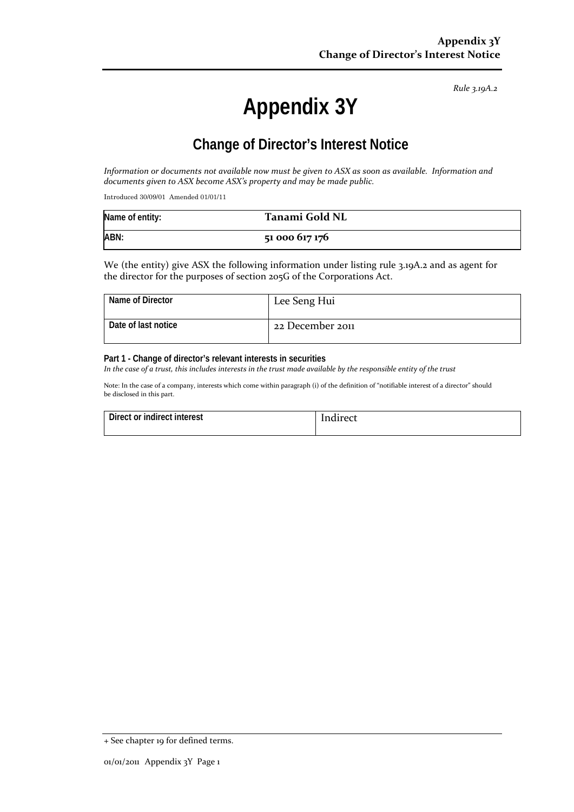*Rule 3.19A.2*

# **Appendix 3Y**

### **Change of Director's Interest Notice**

*Information or documents not available now must be given to ASX as soon as available. Information and documents given to ASX become ASX's property and may be made public.*

Introduced 30/09/01 Amended 01/01/11

| Name of entity: | Tanami Gold NL |
|-----------------|----------------|
| ABN:            | 51 000 617 176 |

We (the entity) give ASX the following information under listing rule 3.19A.2 and as agent for the director for the purposes of section 205G of the Corporations Act.

| Name of Director    | Lee Seng Hui     |
|---------------------|------------------|
| Date of last notice | 22 December 2011 |

#### **Part 1 - Change of director's relevant interests in securities**

*In the case of a trust, this includes interests in the trust made available by the responsible entity of the trust*

Note: In the case of a company, interests which come within paragraph (i) of the definition of "notifiable interest of a director" should be disclosed in this part.

| Direct or indirect interest | Indirect |
|-----------------------------|----------|
|                             |          |

<sup>+</sup> See chapter 19 for defined terms.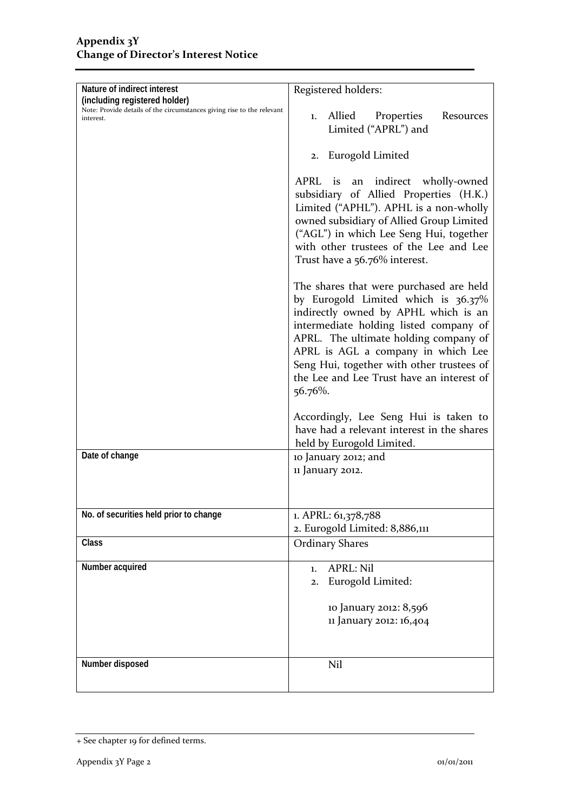| Nature of indirect interest<br>(including registered holder)<br>Note: Provide details of the circumstances giving rise to the relevant<br>interest. | Registered holders:                                                                                                                                                                                                                                                                                                                                  |  |
|-----------------------------------------------------------------------------------------------------------------------------------------------------|------------------------------------------------------------------------------------------------------------------------------------------------------------------------------------------------------------------------------------------------------------------------------------------------------------------------------------------------------|--|
|                                                                                                                                                     | Allied<br>Properties<br>Resources<br>1.<br>Limited ("APRL") and                                                                                                                                                                                                                                                                                      |  |
|                                                                                                                                                     | 2. Eurogold Limited                                                                                                                                                                                                                                                                                                                                  |  |
|                                                                                                                                                     | APRL is<br>indirect wholly-owned<br>an<br>subsidiary of Allied Properties (H.K.)<br>Limited ("APHL"). APHL is a non-wholly<br>owned subsidiary of Allied Group Limited<br>("AGL") in which Lee Seng Hui, together<br>with other trustees of the Lee and Lee<br>Trust have a 56.76% interest.                                                         |  |
|                                                                                                                                                     | The shares that were purchased are held<br>by Eurogold Limited which is 36.37%<br>indirectly owned by APHL which is an<br>intermediate holding listed company of<br>APRL. The ultimate holding company of<br>APRL is AGL a company in which Lee<br>Seng Hui, together with other trustees of<br>the Lee and Lee Trust have an interest of<br>56.76%. |  |
|                                                                                                                                                     | Accordingly, Lee Seng Hui is taken to<br>have had a relevant interest in the shares<br>held by Eurogold Limited.                                                                                                                                                                                                                                     |  |
| Date of change                                                                                                                                      | 10 January 2012; and<br>11 January 2012.                                                                                                                                                                                                                                                                                                             |  |
| No. of securities held prior to change                                                                                                              | 1. APRL: 61,378,788<br>2. Eurogold Limited: 8,886,111                                                                                                                                                                                                                                                                                                |  |
| Class                                                                                                                                               | <b>Ordinary Shares</b>                                                                                                                                                                                                                                                                                                                               |  |
| Number acquired                                                                                                                                     | <b>APRL: Nil</b><br>1.<br>Eurogold Limited:<br>2.<br>10 January 2012: 8,596<br>11 January 2012: 16,404                                                                                                                                                                                                                                               |  |
| Number disposed                                                                                                                                     | Nil                                                                                                                                                                                                                                                                                                                                                  |  |

<sup>+</sup> See chapter 19 for defined terms.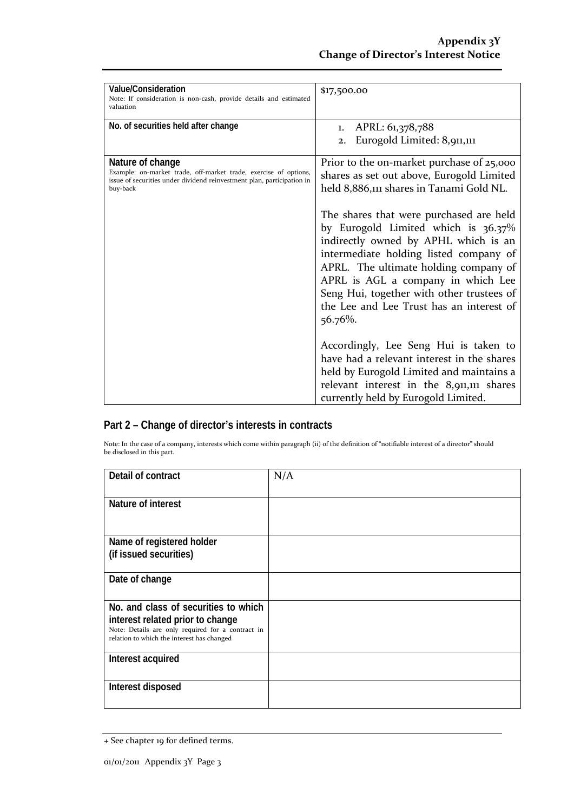| Value/Consideration<br>Note: If consideration is non-cash, provide details and estimated<br>valuation                                                                      | \$17,500.00                                                                                                                                                                                                                                                                                                                                         |
|----------------------------------------------------------------------------------------------------------------------------------------------------------------------------|-----------------------------------------------------------------------------------------------------------------------------------------------------------------------------------------------------------------------------------------------------------------------------------------------------------------------------------------------------|
| No. of securities held after change                                                                                                                                        | APRL: 61,378,788<br>1.<br>Eurogold Limited: 8,911,111<br>2.                                                                                                                                                                                                                                                                                         |
| Nature of change<br>Example: on-market trade, off-market trade, exercise of options,<br>issue of securities under dividend reinvestment plan, participation in<br>buy-back | Prior to the on-market purchase of 25,000<br>shares as set out above, Eurogold Limited<br>held 8,886,111 shares in Tanami Gold NL.                                                                                                                                                                                                                  |
|                                                                                                                                                                            | The shares that were purchased are held<br>by Eurogold Limited which is 36.37%<br>indirectly owned by APHL which is an<br>intermediate holding listed company of<br>APRL. The ultimate holding company of<br>APRL is AGL a company in which Lee<br>Seng Hui, together with other trustees of<br>the Lee and Lee Trust has an interest of<br>56.76%. |
|                                                                                                                                                                            | Accordingly, Lee Seng Hui is taken to<br>have had a relevant interest in the shares<br>held by Eurogold Limited and maintains a<br>relevant interest in the 8,911,111 shares<br>currently held by Eurogold Limited.                                                                                                                                 |

### **Part 2 – Change of director's interests in contracts**

Note: In the case of a company, interests which come within paragraph (ii) of the definition of "notifiable interest of a director" should be disclosed in this part.

| Detail of contract                                                                              | N/A |
|-------------------------------------------------------------------------------------------------|-----|
| Nature of interest                                                                              |     |
| Name of registered holder                                                                       |     |
| (if issued securities)                                                                          |     |
| Date of change                                                                                  |     |
| No. and class of securities to which                                                            |     |
| interest related prior to change                                                                |     |
| Note: Details are only required for a contract in<br>relation to which the interest has changed |     |
| Interest acquired                                                                               |     |
|                                                                                                 |     |
| Interest disposed                                                                               |     |

<sup>+</sup> See chapter 19 for defined terms.